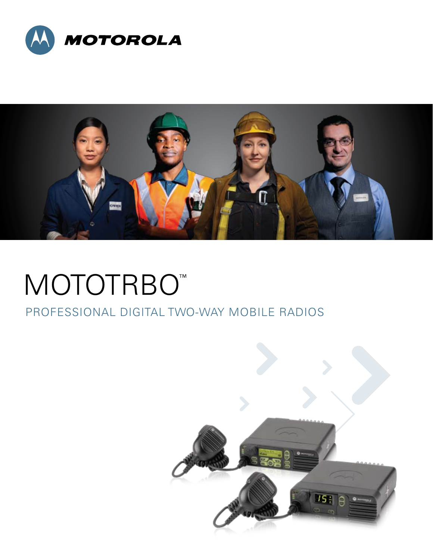



# MOTOTRBO<sup>™</sup>

## Professional Digital Two-Way MOBILE RADIOS

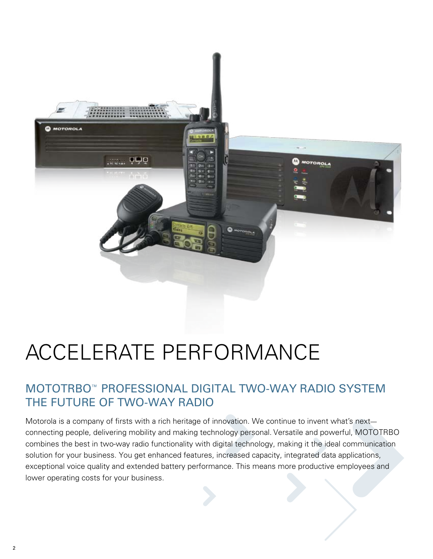

## Accelerate performance

## MOTOTRBO™ Professional Digital Two-Way Radio System THE FUTURE OF TWO-WAY RADIO

Motorola is a company of firsts with a rich heritage of innovation. We continue to invent what's next connecting people, delivering mobility and making technology personal. Versatile and powerful, MOTOTRBO combines the best in two-way radio functionality with digital technology, making it the ideal communication solution for your business. You get enhanced features, increased capacity, integrated data applications, exceptional voice quality and extended battery performance. This means more productive employees and lower operating costs for your business.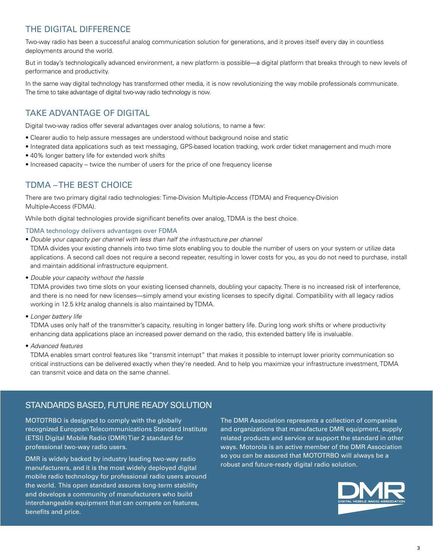#### THE DIGITAL DIFFERENCE

Two-way radio has been a successful analog communication solution for generations, and it proves itself every day in countless deployments around the world.

But in today's technologically advanced environment, a new platform is possible—a digital platform that breaks through to new levels of performance and productivity.

In the same way digital technology has transformed other media, it is now revolutionizing the way mobile professionals communicate. The time to take advantage of digital two-way radio technology is now.

#### Take Advantage of Digital

Digital two-way radios offer several advantages over analog solutions, to name a few:

- Clearer audio to help assure messages are understood without background noise and static
- Integrated data applications such as text messaging, GPS-based location tracking, work order ticket management and much more
- 40% longer battery life for extended work shifts
- Increased capacity twice the number of users for the price of one frequency license

#### TDMA – THE Best Choice

There are two primary digital radio technologies: Time-Division Multiple-Access (TDMA) and Frequency-Division Multiple-Access (FDMA).

While both digital technologies provide significant benefits over analog, TDMA is the best choice.

#### TDMA technology delivers advantages over FDMA

• *Double your capacity per channel with less than half the infrastructure per channel*

TDMA divides your existing channels into two time slots enabling you to double the number of users on your system or utilize data applications. A second call does not require a second repeater, resulting in lower costs for you, as you do not need to purchase, install and maintain additional infrastructure equipment.

• *Double your capacity without the hassle* 

TDMA provides two time slots on your existing licensed channels, doubling your capacity. There is no increased risk of interference, and there is no need for new licenses—simply amend your existing licenses to specify digital. Compatibility with all legacy radios working in 12.5 kHz analog channels is also maintained by TDMA.

• *Longer battery life*

TDMA uses only half of the transmitter's capacity, resulting in longer battery life. During long work shifts or where productivity enhancing data applications place an increased power demand on the radio, this extended battery life is invaluable.

• *Advanced features*

TDMA enables smart control features like "transmit interrupt" that makes it possible to interrupt lower priority communication so critical instructions can be delivered exactly when they're needed. And to help you maximize your infrastructure investment, TDMA can transmit voice and data on the same channel.

#### Standards Based, Future Ready Solution

MOTOTRBO is designed to comply with the globally recognized European Telecommunications Standard Institute (ETSI) Digital Mobile Radio (DMR) Tier 2 standard for professional two-way radio users.

DMR is widely backed by industry leading two-way radio manufacturers, and it is the most widely deployed digital mobile radio technology for professional radio users around the world. This open standard assures long-term stability and develops a community of manufacturers who build interchangeable equipment that can compete on features, benefits and price.

The DMR Association represents a collection of companies and organizations that manufacture DMR equipment, supply related products and service or support the standard in other ways. Motorola is an active member of the DMR Association so you can be assured that MOTOTRBO will always be a robust and future-ready digital radio solution.

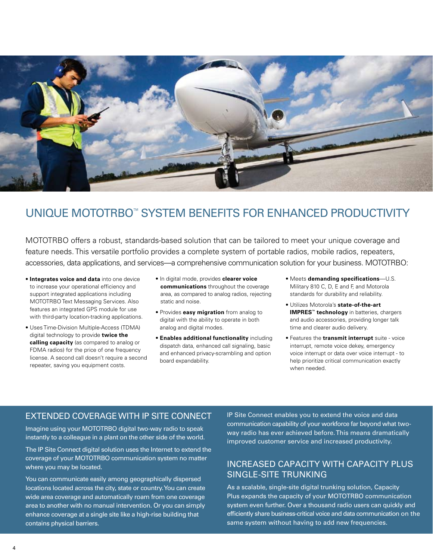

## UNIQUE MOTOTRBO™ SYSTEM BENEFITS FOR ENHANCED PRODUCTIVITY

MOTOTRBO offers a robust, standards-based solution that can be tailored to meet your unique coverage and feature needs. This versatile portfolio provides a complete system of portable radios, mobile radios, repeaters, accessories, data applications, and services—a comprehensive communication solution for your business. MOTOTRBO:

- **Integrates voice and data** into one device to increase your operational efficiency and support integrated applications including MOTOTRBO Text Messaging Services. Also features an integrated GPS module for use with third-party location-tracking applications.
- Uses Time-Division Multiple-Access (TDMA) digital technology to provide **twice the calling capacity** (as compared to analog or FDMA radios) for the price of one frequency license. A second call doesn't require a second repeater, saving you equipment costs.
- In digital mode, provides **clearer voice communications** throughout the coverage area, as compared to analog radios, rejecting static and noise.
- Provides **easy migration** from analog to digital with the ability to operate in both analog and digital modes.
- **Enables additional functionality** including dispatch data, enhanced call signaling, basic and enhanced privacy-scrambling and option board expandability.
- Meets **demanding specifications**—U.S. Military 810 C, D, E and F, and Motorola standards for durability and reliability.
- Utilizes Motorola's **state-of-the-art IMPRES™ technology** in batteries, chargers and audio accessories, providing longer talk time and clearer audio delivery.
- Features the **transmit interrupt** suite voice interrupt, remote voice dekey, emergency voice interrupt or data over voice interrupt - to help prioritize critical communication exactly when needed.

#### Extended Coverage with IP Site Connect

Imagine using your MOTOTRBO digital two-way radio to speak instantly to a colleague in a plant on the other side of the world.

The IP Site Connect digital solution uses the Internet to extend the coverage of your MOTOTRBO communication system no matter where you may be located.

You can communicate easily among geographically dispersed locations located across the city, state or country. You can create wide area coverage and automatically roam from one coverage area to another with no manual intervention. Or you can simply enhance coverage at a single site like a high-rise building that contains physical barriers.

IP Site Connect enables you to extend the voice and data communication capability of your workforce far beyond what twoway radio has ever achieved before. This means dramatically improved customer service and increased productivity.

#### Increased Capacity with Capacity Plus Single-Site Trunking

As a scalable, single-site digital trunking solution, Capacity Plus expands the capacity of your MOTOTRBO communication system even further. Over a thousand radio users can quickly and efficiently share business-critical voice and data communication on the same system without having to add new frequencies.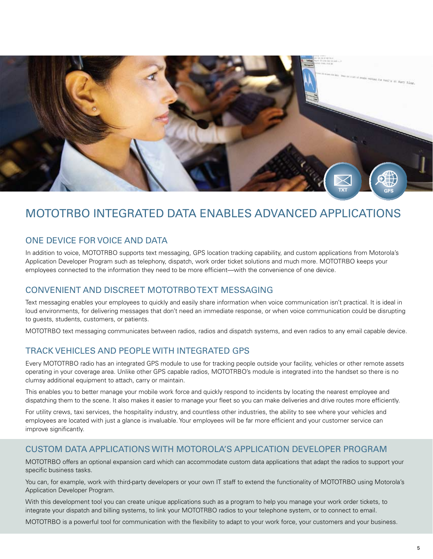

## MOTOTRBO Integrated Data Enables Advanced Applications

#### One Device for Voice and Data

In addition to voice, MOTOTRBO supports text messaging, GPS location tracking capability, and custom applications from Motorola's Application Developer Program such as telephony, dispatch, work order ticket solutions and much more. MOTOTRBO keeps your employees connected to the information they need to be more efficient—with the convenience of one device.

#### Convenient And Discreet MOTOTRBO Text Messaging

Text messaging enables your employees to quickly and easily share information when voice communication isn't practical. It is ideal in loud environments, for delivering messages that don't need an immediate response, or when voice communication could be disrupting to guests, students, customers, or patients.

MOTOTRBO text messaging communicates between radios, radios and dispatch systems, and even radios to any email capable device.

#### Track Vehicles and People with Integrated GPS

Every MOTOTRBO radio has an integrated GPS module to use for tracking people outside your facility, vehicles or other remote assets operating in your coverage area. Unlike other GPS capable radios, MOTOTRBO's module is integrated into the handset so there is no clumsy additional equipment to attach, carry or maintain.

This enables you to better manage your mobile work force and quickly respond to incidents by locating the nearest employee and dispatching them to the scene. It also makes it easier to manage your fleet so you can make deliveries and drive routes more efficiently.

For utility crews, taxi services, the hospitality industry, and countless other industries, the ability to see where your vehicles and employees are located with just a glance is invaluable. Your employees will be far more efficient and your customer service can improve significantly.

#### Custom Data Applications with Motorola's Application Developer Program

MOTOTRBO offers an optional expansion card which can accommodate custom data applications that adapt the radios to support your specific business tasks.

You can, for example, work with third-party developers or your own IT staff to extend the functionality of MOTOTRBO using Motorola's Application Developer Program.

With this development tool you can create unique applications such as a program to help you manage your work order tickets, to integrate your dispatch and billing systems, to link your MOTOTRBO radios to your telephone system, or to connect to email.

MOTOTRBO is a powerful tool for communication with the flexibility to adapt to your work force, your customers and your business.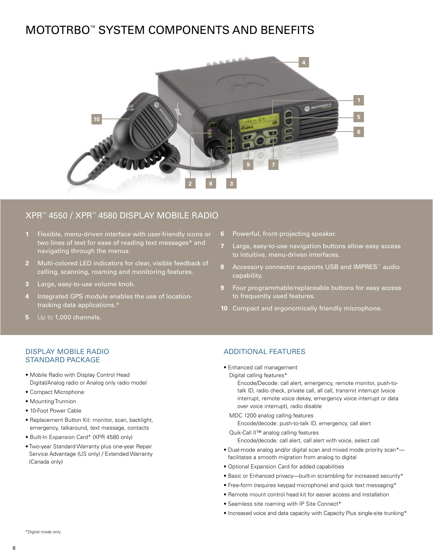## MOTOTRBO™ System Components and Benefits



#### XPR™ 4550 / XPR™ 4580 Display Mobile Radio

- **1** Flexible, menu-driven interface with user-friendly icons or two lines of text for ease of reading text messages\* and navigating through the menus.
- **2** Multi-colored LED indicators for clear, visible feedback of calling, scanning, roaming and monitoring features.
- **3** Large, easy-to-use volume knob.
- **4** Integrated GPS module enables the use of locationtracking data applications.\*
- **5** Up to 1,000 channels.
- **6** Powerful, front-projecting speaker.
- **7** Large, easy-to-use navigation buttons allow easy access to intuitive, menu-driven interfaces.
- **8** Accessory connector supports USB and IMPRES™ audio capability.
- **9** Four programmable/replaceable buttons for easy access to frequently used features.
- **10** Compact and ergonomically friendly microphone.

#### Display Mobile Radio Standard Package

- Mobile Radio with Display Control Head Digital/Analog radio or Analog only radio model
- Compact Microphone
- Mounting Trunnion
- 10-Foot Power Cable
- Replacement Button Kit: monitor, scan, backlight, emergency, talkaround, text message, contacts
- Built-In Expansion Card\* (XPR 4580 only)
- Two-year Standard Warranty plus one-year Repair Service Advantage (US only) / Extended Warranty (Canada only)

#### Additional Features

- Enhanced call management
- Digital calling features\*

Encode/Decode: call alert, emergency, remote monitor, push-totalk ID, radio check, private call, all call, transmit interrupt (voice interrupt, remote voice dekey, emergency voice interrupt or data over voice interrupt), radio disable

MDC 1200 analog calling features Encode/decode: push-to-talk ID, emergency, call alert

Quik-Call II™ analog calling features Encode/decode: call alert, call alert with voice, select call

- Dual-mode analog and/or digital scan and mixed mode priority scan\* facilitates a smooth migration from analog to digital
- Optional Expansion Card for added capabilities
- Basic or Enhanced privacy—built-in scrambling for increased security\*
- Free-form (requires keypad microphone) and quick text messaging\*
- Remote mount control head kit for easier access and installation
- Seamless site roaming with IP Site Connect\*
- Increased voice and data capacity with Capacity Plus single-site trunking\*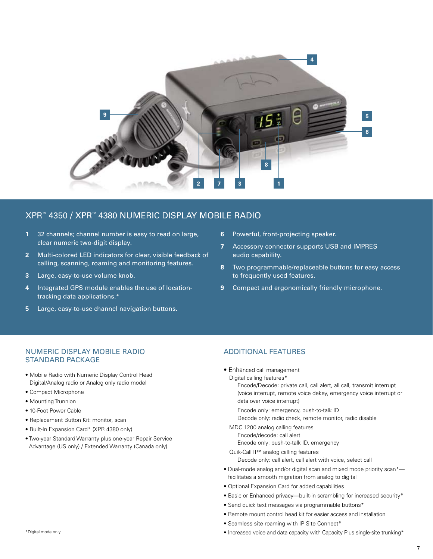

#### XPR™ 4350 / XPR™ 4380 Numeric Display Mobile Radio

- **1** 32 channels; channel number is easy to read on large, clear numeric two-digit display.
- **2** Multi-colored LED indicators for clear, visible feedback of calling, scanning, roaming and monitoring features.
- **3** Large, easy-to-use volume knob.
- **4** Integrated GPS module enables the use of locationtracking data applications.\*
- **5** Large, easy-to-use channel navigation buttons.
- **6** Powerful, front-projecting speaker.
- **7** Accessory connector supports USB and IMPRES audio capability.
- **8** Two programmable/replaceable buttons for easy access to frequently used features.
- **9** Compact and ergonomically friendly microphone.

#### Numeric Display Mobile Radio Standard Package

- Mobile Radio with Numeric Display Control Head Digital/Analog radio or Analog only radio model
- Compact Microphone
- Mounting Trunnion
- 10-Foot Power Cable
- Replacement Button Kit: monitor, scan
- Built-In Expansion Card\* (XPR 4380 only)
- Two-year Standard Warranty plus one-year Repair Service Advantage (US only) / Extended Warranty (Canada only)

#### Additional Features

- Enhanced call management
- Digital calling features\*

Encode/Decode: private call, call alert, all call, transmit interrupt (voice interrupt, remote voice dekey, emergency voice interrupt or data over voice interrupt)

- Encode only: emergency, push-to-talk ID
- Decode only: radio check, remote monitor, radio disable

MDC 1200 analog calling features Encode/decode: call alert

Encode only: push-to-talk ID, emergency

- Quik-Call II™ analog calling features
	- Decode only: call alert, call alert with voice, select call
- Dual-mode analog and/or digital scan and mixed mode priority scan\* facilitates a smooth migration from analog to digital
- Optional Expansion Card for added capabilities
- Basic or Enhanced privacy—built-in scrambling for increased security\*
- Send quick text messages via programmable buttons\*
- Remote mount control head kit for easier access and installation
- Seamless site roaming with IP Site Connect\*
- Increased voice and data capacity with Capacity Plus single-site trunking\*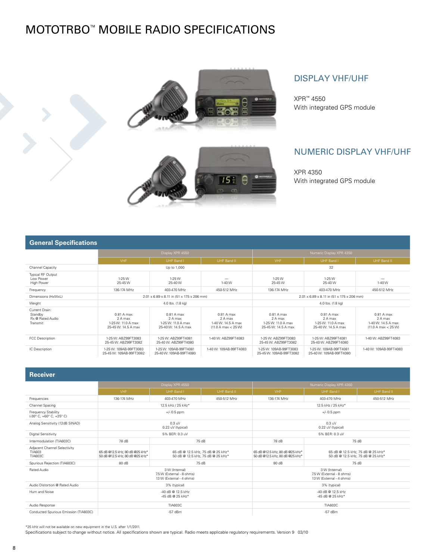## MOTOTRBO™ Mobile Radio Specifications







#### Display VHF/UHF

XPR™ 4550 With integrated GPS module

#### Numeric Display VHF/UHF

XPR 4350 With integrated GPS module

#### **General Specifications**

|                                                           | Display XPR 4550                                                   |                                                                    |                                                                    | Numeric Display XPR 4350                                           |                                                                    |                                                                    |  |
|-----------------------------------------------------------|--------------------------------------------------------------------|--------------------------------------------------------------------|--------------------------------------------------------------------|--------------------------------------------------------------------|--------------------------------------------------------------------|--------------------------------------------------------------------|--|
|                                                           | <b>VHF</b>                                                         | UHF Band I                                                         | UHF Band II                                                        | <b>VHF</b>                                                         | UHF Band I                                                         | UHF Band II                                                        |  |
| Channel Capacity                                          |                                                                    | Up to 1,000                                                        |                                                                    |                                                                    | 32                                                                 |                                                                    |  |
| Typical RF Output<br>Low Power<br>High Power              | $1-25W$<br>25-45 W                                                 | $1-25W$<br>25-40 W                                                 | 1-40 W                                                             | $1-25W$<br>25-45 W                                                 | $1-25W$<br>25-40 W                                                 | -<br>1-40 W                                                        |  |
| Frequency                                                 | 136-174 MHz                                                        | 403-470 MHz                                                        | 450-512 MHz                                                        | 136-174 MHz                                                        | 403-470 MHz                                                        | 450-512 MHz                                                        |  |
| Dimensions (HxWxL)                                        | 2.01 x 6.89 x 8.11 in (51 x 175 x 206 mm)                          |                                                                    | 2.01 x 6.89 x 8.11 in (51 x 175 x 206 mm)                          |                                                                    |                                                                    |                                                                    |  |
| Weight                                                    |                                                                    | 4.0 lbs. (1.8 kg)                                                  |                                                                    | 4.0 lbs. (1.8 kg)                                                  |                                                                    |                                                                    |  |
| Current Drain:<br>Standby<br>Rx @ Rated Audio<br>Transmit | 0.81 A max<br>2 A max<br>1-25 W: 11.0 A max<br>25-45 W: 14.5 A max | 0.81 A max<br>2 A max<br>1-25 W: 11.0 A max<br>25-40 W: 14.5 A max | 0.81 A max<br>2 A max<br>1-40 W: 14.5 A max<br>(11.0 A max < 25 W) | 0.81 A max<br>2 A max<br>1-25 W: 11.0 A max<br>25-45 W: 14.5 A max | 0.81 A max<br>2 A max<br>1-25 W: 11.0 A max<br>25-40 W: 14.5 A max | 0.81 A max<br>2 A max<br>1-40 W: 14.5 A max<br>(11.0 A max < 25 W) |  |
| FCC Description                                           | 1-25 W: ABZ99FT3083<br>25-45 W: ABZ99FT3082                        | 1-25 W: ABZ99FT4081<br>25-40 W: ABZ99FT4080                        | 1-40 W: ABZ99FT4083                                                | 1-25 W: ABZ99FT3083<br>25-45 W: ABZ99FT3082                        | 1-25 W: ABZ99FT4081<br>25-40 W: ABZ99FT4080                        | 1-40 W: ABZ99FT4083                                                |  |
| IC Description                                            | 1-25 W: 109AB-99FT3083<br>25-45 W: 109AB-99FT3082                  | 1-25 W: 109AB-99FT4081<br>25-40 W: 109AB-99FT4080                  | 1-40 W: 109AB-99FT4083                                             | 1-25 W: 109AB-99FT3083<br>25-45 W: 109AB-99FT3082                  | 1-25 W: 109AB-99FT4081<br>25-40 W: 109AB-99FT4080                  | 1-40 W: 109AB-99FT4083                                             |  |

**Receiver** VHF UHF Band I UHF Band II VHF UHF Band I UHF Band II Frequencies 136-174 MHz 403-470 MHz 450-512 MHz 136-174 MHz 403-470 MHz 450-512 MHz Channel Spacing 12.5 kHz / 25 kHz \* 12.5 kHz / 25 kHz \* 12.5 kHz / 25 kHz \* 12.5 kHz \* 12.5 kHz \* 12.5 kHz \* 12.5 kHz \* 12.5 kHz \* 12.5 kHz \* 12.5 kHz \* 12.5 kHz \* 12.5 kHz \* 12.5 kHz \* 12.5 kHz \* 12.5 kHz \* 12.5 kHz \* 12. Frequency Stability (-30° C, +60° C, +25° C) +/- 0.5 ppm +/- 0.5 ppm Analog Sensitivity (12dB SINAD)  $0.3$  uV<br>0.22 uV (typical) 0.3 uV 0.22 uV (typical) Digital Sensitivity 5% BER: 0.3 uV 5% BER: 0.3 uV Intermodulation (TIA603C) 78 dB 75 dB 78 dB 75 dB Adjacent Channel Selectivity TIA603 TIA603C 65 dB @12.5 kHz, 80 dB @25 kHz\* 50 dB @12.5 kHz, 80 dB @25 kHz\* 65 dB @ 12.5 kHz, 75 dB @ 25 kHz\* 50 dB @ 12.5 kHz, 75 dB @ 25 kHz\* 65 dB @12.5 kHz, 80 dB @25 kHz\* 50 dB @12.5 kHz, 80 dB @25 kHz\* 65 dB @ 12.5 kHz, 75 dB @ 25 kHz\* 50 dB @ 12.5 kHz, 75 dB @ 25 kHz\* Spurious Rejection (TIA603C) 80 dB 80 dB 80 dB 80 dB 80 dB 80 dB 80 dB 80 dB 80 dB 80 dB 80 dB 80 dB Rated Audio 3 W (Internal) 7.5 W (External - 8 ohms) 13 W (External - 4 ohms) 3 W (Internal) 7.5 W (External - 8 ohms) 13 W (External - 4 ohms) Audio Distortion @ Rated Audio 3% (typical) 3% (typical) Hum and Noise -40 dB @ 12.5 kHz -45 dB @ 25 kHz\* -40 dB @ 12.5 kHz -45 dB @ 25 kHz\* Audio Response TIA603C TIA603C Conducted Spurious Emission (TIA603C) and the Conducted Spurious Emission (TIA603C) -57 dBm -57 dBm -57 dBm -57 dBm

\*25 kHz will not be available on new equipment in the U.S. after 1/1/2011.

Specifications subject to change without notice. All specifications shown are typical. Radio meets applicable regulatory requirements. Version 9 03/10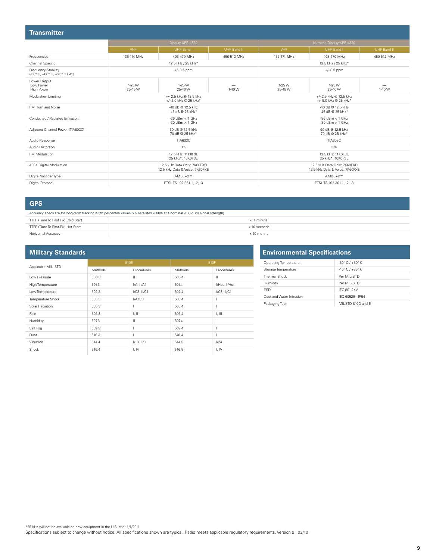| <b>Transmitter</b>                                   |                                                                                 |                                                 |                                                               |                                                 |                           |             |  |
|------------------------------------------------------|---------------------------------------------------------------------------------|-------------------------------------------------|---------------------------------------------------------------|-------------------------------------------------|---------------------------|-------------|--|
|                                                      |                                                                                 | Display XPR 4550                                |                                                               |                                                 | Numeric Display XPR 4350  |             |  |
|                                                      | VHF                                                                             | UHF Band I                                      | UHF Band II                                                   | VHF                                             | UHF Band I                | UHF Band II |  |
| Frequencies                                          | 136-174 MHz                                                                     | 403-470 MHz                                     | 450-512 MHz                                                   | 136-174 MHz                                     | 403-470 MHz               | 450-512 MHz |  |
| Channel Spacing                                      |                                                                                 | 12.5 kHz / 25 kHz*                              |                                                               |                                                 | 12.5 kHz / 25 kHz*        |             |  |
| Frequency Stability<br>(-30° C, +60° C, +25° C Ref.) |                                                                                 | $+/- 0.5$ ppm                                   |                                                               | $+/- 0.5$ ppm                                   |                           |             |  |
| Power Output<br>Low Power<br>High Power              | 1-25 W<br>25-45 W                                                               | 1-25 W<br>25-40 W                               | 1-40 W                                                        | 1-25 W<br>25-45 W                               | 1-25 W<br>25-40 W         | 1-40 W      |  |
| Modulation Limiting                                  |                                                                                 | +/- 2.5 kHz @ 12.5 kHz<br>+/- 5.0 kHz @ 25 kHz* |                                                               | +/- 2.5 kHz @ 12.5 kHz<br>+/- 5.0 kHz @ 25 kHz* |                           |             |  |
| FM Hum and Noise                                     | -40 dB @ 12.5 kHz<br>-45 dB @ 25 kHz*                                           |                                                 | -40 dB @ 12.5 kHz<br>-45 dB @ 25 kHz*                         |                                                 |                           |             |  |
| Conducted / Radiated Emission                        |                                                                                 | $-36$ dBm $< 1$ GHz<br>$-30$ dBm $> 1$ GHz      |                                                               | $-36$ dBm $< 1$ GHz<br>$-30$ dBm $> 1$ GHz      |                           |             |  |
| Adjacent Channel Power (TIA603C)                     |                                                                                 | 60 dB @ 12.5 kHz<br>70 dB @ 25 kHz*             |                                                               | 60 dB @ 12.5 kHz<br>70 dB @ 25 kHz*             |                           |             |  |
| Audio Response                                       |                                                                                 | TIA603C                                         |                                                               |                                                 | <b>TIA603C</b>            |             |  |
| Audio Distortion                                     |                                                                                 | 3%                                              |                                                               |                                                 | 3%                        |             |  |
| FM Modulation                                        | 12.5 kHz: 11 K0F3F<br>12.5 kHz: 11K0F3F<br>25 kHz*: 16K0F3E<br>25 kHz*: 16K0F3E |                                                 |                                                               |                                                 |                           |             |  |
| 4FSK Digital Modulation                              | 12.5 kHz Data Only: 7K60FXD<br>12.5 kHz Data & Voice: 7K60FXF                   |                                                 | 12.5 kHz Data Only: 7K60FXD<br>12.5 kHz Data & Voice: 7K60FXE |                                                 |                           |             |  |
| Digital Vocoder Type                                 |                                                                                 | $AMBE+2^{TM}$                                   |                                                               |                                                 | $AMBE+2^{TM}$             |             |  |
| Digital Protocol                                     |                                                                                 | ETSI TS 102 361-1, -2, -3                       |                                                               |                                                 | ETSI TS 102 361-1, -2, -3 |             |  |

Ė

**GPS**

Accuracy specs are for long-term tracking (95th percentile values > 5 satellites visible at a nominal -130 dBm signal strength)

| ____                                | _____          |
|-------------------------------------|----------------|
| TTFF (Time To First Fix) Cold Start | $<$ 1 minute   |
| TTFF (Time To First Fix) Hot Start  | $< 10$ seconds |
| Horizontal Accuracy                 | $< 10$ meters  |

#### **Military Standards**

|                    |         | 810E             |         |                  |
|--------------------|---------|------------------|---------|------------------|
| Applicable MIL-STD | Methods | Procedures       | Methods | Procedures       |
| Low Pressure       | 500.3   | Ш                | 500.4   | Ш                |
| High Temperature   | 501.3   | I/A, II/A1       | 501.4   | I/Hot, II/Hot    |
| Low Temperature    | 502.3   | $I/C3$ , $II/C1$ | 502.4   | $I/C3$ , $II/C1$ |
| Temperature Shock  | 503.3   | I/A1C3           | 503.4   |                  |
| Solar Radiation    | 505.3   |                  | 505.4   |                  |
| Rain               | 506.3   | T, II            | 506.4   | T, III           |
| Humidity           | 507.3   | Ш                | 507.4   | $\sim$           |
| Salt Fog           | 509.3   |                  | 509.4   |                  |
| Dust               | 510.3   |                  | 510.4   |                  |
| Vibration          | 514.4   | I/10, II/3       | 514.5   | 1/24             |
| Shock              | 516.4   | I, IV            | 516.5   | I, IV            |

| <b>Environmental Specifications</b> |                                   |  |
|-------------------------------------|-----------------------------------|--|
| Operating Temperature               | $-30^{\circ}$ C / $+60^{\circ}$ C |  |
| Storage Temperature                 | $-40^{\circ}$ C / $+85^{\circ}$ C |  |
| Thermal Shock                       | Per MII-STD                       |  |
| Humidity                            | Per MII-STD                       |  |
| <b>FSD</b>                          | IFC-801-2KV                       |  |
| Dust and Water Intrusion            | IFC 60529 - IP54                  |  |
| Packaging Test                      | MIL-STD 810D and E                |  |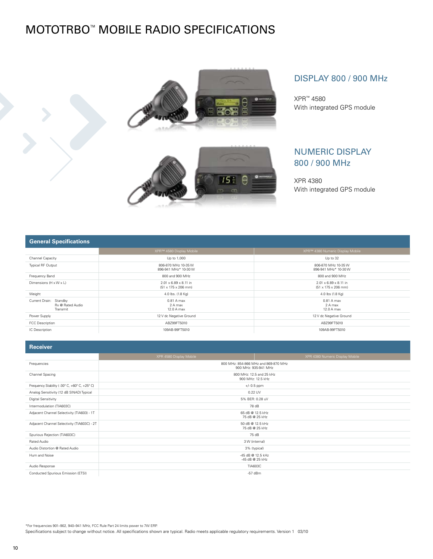## MOTOTRBO™ Mobile Radio Specifications







#### DISPLAY 800 / 900 MHz

XPR™ 4580 With integrated GPS module

#### NUMERIC DISPLAY 800 / 900 MHz

XPR 4380 With integrated GPS module

#### **General Specifications**

|                                                        | XPR™ 4580 Display Mobile                                             | XPR™ 4380 Numeric Display Mobile                                     |  |  |
|--------------------------------------------------------|----------------------------------------------------------------------|----------------------------------------------------------------------|--|--|
| Channel Capacity                                       | Up to 1,000                                                          | Up to 32                                                             |  |  |
| Typical RF Output                                      | 806-870 MHz 10-35 W<br>896-941 MHz* 10-30 W                          | 806-870 MHz 10-35 W<br>896-941 MHz* 10-30 W                          |  |  |
| Frequency Band                                         | 800 and 900 MHz                                                      | 800 and 900 MHz                                                      |  |  |
| Dimensions (H x W x L)                                 | $2.01 \times 6.89 \times 8.11$ in<br>$(51 \times 175 \times 206$ mm) | $2.01 \times 6.89 \times 8.11$ in<br>$(51 \times 175 \times 206$ mm) |  |  |
| Weight                                                 | 4.0 lbs. (1.8 Kg)                                                    | 4.0 lbs (1.8 Kg)                                                     |  |  |
| Current Drain: Standby<br>Rx @ Rated Audio<br>Transmit | 0.81 A max<br>2 A max<br>12.0 A max                                  | 0.81 A max<br>2 A max<br>12.0 A max                                  |  |  |
| Power Supply                                           | 12 V dc Negative Ground                                              | 12 V dc Negative Ground                                              |  |  |
| <b>FCC Description</b>                                 | ABZ99FT5010                                                          | ABZ99FT5010                                                          |  |  |
| IC Description                                         | 109AB-99FT5010                                                       | 109AB-99FT5010                                                       |  |  |

| 155551                                       |                                      |                                                              |  |  |  |
|----------------------------------------------|--------------------------------------|--------------------------------------------------------------|--|--|--|
|                                              | XPR 4580 Display Mobile              | XPR 4380 Numeric Display Mobile                              |  |  |  |
| Frequencies                                  |                                      | 800 MHz: 854-866 MHz and 869-870 MHz<br>900 MHz: 935-941 MHz |  |  |  |
| Channel Spacing                              |                                      | 800 MHz: 12.5 and 25 kHz<br>900 MHz: 12.5 kHz                |  |  |  |
| Frequency Stability (-30° C, +60° C, +25° C) |                                      | $+/- 0.5$ ppm                                                |  |  |  |
| Analog Sensitivity (12 dB SINAD) Typical     |                                      | 0.22 UV                                                      |  |  |  |
| Digital Sensitivity                          |                                      | 5% BER: 0.28 uV                                              |  |  |  |
| Intermodulation (TIA603C)                    |                                      | 78 dB                                                        |  |  |  |
| Adjacent Channel Selectivity (TIA603) - 1T   |                                      | 65 dB @ 12.5 kHz<br>75 dB @ 25 kHz                           |  |  |  |
| Adjacent Channel Selectivity (TIA603C) - 2T  | 50 dB @ 12.5 kHz<br>75 dB @ 25 kHz   |                                                              |  |  |  |
| Spurious Rejection (TIA603C)                 | 75 dB                                |                                                              |  |  |  |
| Rated Audio                                  |                                      | 3 W (internal)                                               |  |  |  |
| Audio Distortion @ Rated Audio               |                                      | 3% (typical)                                                 |  |  |  |
| Hum and Noise                                | -45 dB @ 12.5 kHz<br>-45 dB @ 25 kHz |                                                              |  |  |  |
| Audio Response                               |                                      | <b>TIA603C</b>                                               |  |  |  |
| Conducted Spurious Emission (ETSI)           |                                      | $-57$ dBm                                                    |  |  |  |

\*For frequencies 901–902, 940–941 MHz, FCC Rule Part 24 limits power to 7W ERP.

Specifications subject to change without notice. All specifications shown are typical. Radio meets applicable regulatory requirements. Version 1 03/10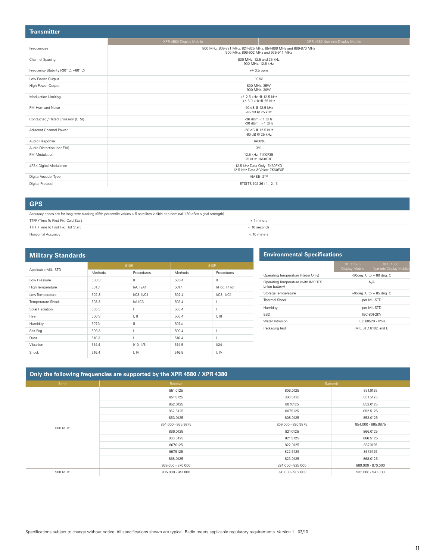| <b>Transmitter</b>                   |                                                |                                                                                                        |  |  |
|--------------------------------------|------------------------------------------------|--------------------------------------------------------------------------------------------------------|--|--|
|                                      | XPR 4580 Display Mobile                        | XPR 4380 Numeric Display Mobile                                                                        |  |  |
| Frequencies                          |                                                | 800 MHz: 809-821 MHz, 824-825 MHz, 854-866 MHz and 869-870 MHz<br>900 MHz: 896-902 MHz and 935-941 MHz |  |  |
| Channel Spacing                      | 800 MHz: 12.5 and 25 kHz<br>900 MHz: 12.5 kHz  |                                                                                                        |  |  |
| Frequency Stability (-30° C, +60° C) |                                                | $+/- 0.5$ ppm                                                                                          |  |  |
| Low Power Output                     |                                                | 10 W                                                                                                   |  |  |
| High Power Output                    |                                                | 800 MHz: 35W<br>900 MHz: 30W                                                                           |  |  |
| Modulation Limiting                  | +/- 2.5 kHz @ 12.5 kHz<br>+/- 5.0 kHz @ 25 kHz |                                                                                                        |  |  |
| FM Hum and Noise                     | -40 dB @ 12.5 kHz<br>-45 dB @ 25 kHz           |                                                                                                        |  |  |
| Conducted / Rated Emission (ETSI)    | $-36$ dBm $<$ 1 GHz<br>$-30$ dBm $> 1$ GHz     |                                                                                                        |  |  |
| Adjacent Channel Power               |                                                | -50 dB @ 12.5 kHz<br>-60 dB @ 25 kHz                                                                   |  |  |
| Audio Response                       |                                                | <b>TIA603C</b>                                                                                         |  |  |
| Audio Distortion (per EIA)           |                                                | 3%                                                                                                     |  |  |
| FM Modulation                        |                                                | 12.5 kHz: 11K0F3E<br>25 kHz: 16K0F3E                                                                   |  |  |
| 4FSK Digital Modulation              |                                                | 12.5 kHz Data Only: 7K60FXD<br>12.5 kHz Data & Voice: 7K60FXE                                          |  |  |
| Digital Vocoder Type                 |                                                | $AMBE+2^{TM}$                                                                                          |  |  |
| Digital Protocol                     |                                                | ETSITS 102 361-1, -2, -3                                                                               |  |  |

#### **GPS**

| Accuracy specs are for long-term tracking (95th percentile values > 5 satellites visible at a nominal -130 dBm signal strength) |                |  |  |
|---------------------------------------------------------------------------------------------------------------------------------|----------------|--|--|
| TTFF (Time To First Fix) Cold Start                                                                                             | < 1 minute     |  |  |
| TTFF (Time To First Fix) Hot Start                                                                                              | $<$ 10 seconds |  |  |
| Horizontal Accuracy                                                                                                             | < 10 meters    |  |  |

| <b>Military Standards</b> |         |                  |         |                  |
|---------------------------|---------|------------------|---------|------------------|
|                           | 810E    |                  | 810F    |                  |
| Applicable MIL-STD        | Methods | Procedures       | Methods | Procedures       |
| Low Pressure              | 500.3   | Ш                | 500.4   | Ш                |
| High Temperature          | 501.3   | $I/A$ , $II/A1$  | 501.4   | I/Hot, II/Hot    |
| Low Temperature           | 502.3   | $I/C3$ , $II/C1$ | 502.4   | $I/C3$ , $II/C1$ |
| Temperature Shock         | 503.3   | I/A1C3           | 503.4   |                  |
| Solar Radiation           | 505.3   |                  | 505.4   |                  |
| Rain                      | 506.3   | T, II            | 506.4   | I, III           |
| Humidity                  | 507.3   | Ш                | 507.4   | $\sim$           |
| Salt Fog                  | 509.3   |                  | 509.4   | I                |
| Dust                      | 510.3   |                  | 510.4   |                  |
| Vibration                 | 514.4   | $I/10$ , $II/3$  | 514.5   | 1/24             |
| Shock                     | 516.4   | I, IV            | 516.5   | I, IV            |

#### **Environmental Specifications**

|                                                       | <b>XPR 4580</b><br>Display Mobile | <b>XPR 4380</b><br>Numeric Display Mobile |
|-------------------------------------------------------|-----------------------------------|-------------------------------------------|
| Operating Temperature (Radio Only)                    | -30deg. $C$ to $+60$ deg. $C$     |                                           |
| Operating Temperature (with IMPRES<br>Li-Ion battery) | N/A                               |                                           |
| Storage Temperature                                   | -40deg. $C$ to $+85$ deg. $C$     |                                           |
| Thermal Shock                                         |                                   | per MIL-STD                               |
| Humidity                                              |                                   | per MIL-STD                               |
| <b>FSD</b>                                            |                                   | IFC-801-2KV                               |
| Water Intrusion                                       |                                   | IFC 60529 - IP54                          |
| Packaging Test                                        |                                   | MIL STD 810D and F                        |

| Only the following frequencies are supported by the XPR 4580 / XPR 4380 |                    |                    |                    |  |
|-------------------------------------------------------------------------|--------------------|--------------------|--------------------|--|
| Band                                                                    | Receive            |                    | Transmit           |  |
|                                                                         | 851.0125           | 806.0125           | 851.0125           |  |
|                                                                         | 851.5125           | 806.5125           | 851.5125           |  |
|                                                                         | 852.0125           | 807.0125           | 852.0125           |  |
|                                                                         | 852.5125           | 807.5125           | 852.5125           |  |
|                                                                         | 853.0125           | 808.0125           | 853.0125           |  |
| 800 MHz                                                                 | 854.000 - 865.9875 | 809.000 - 820.9875 | 854.000 - 865.9875 |  |
|                                                                         | 866.0125           | 821.0125           | 866.0125           |  |
|                                                                         | 866.5125           | 821.5125           | 866.5125           |  |
|                                                                         | 867.0125           | 822.0125           | 867.0125           |  |
|                                                                         | 867.5125           | 822.5125           | 867.5125           |  |
|                                                                         | 868.0125           | 823.0125           | 868.0125           |  |
|                                                                         | 869.000 - 870.000  | 824.000 - 825.000  | 869.000 - 870.000  |  |
| 900 MHz                                                                 | 935.000 - 941.000  | 896.000 - 902.000  | 935.000 - 941.000  |  |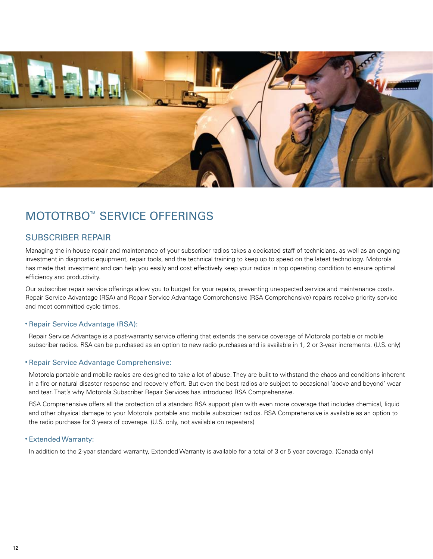

## MOTOTRBO™ Service Offerings

#### Subscriber repair

Managing the in-house repair and maintenance of your subscriber radios takes a dedicated staff of technicians, as well as an ongoing investment in diagnostic equipment, repair tools, and the technical training to keep up to speed on the latest technology. Motorola has made that investment and can help you easily and cost effectively keep your radios in top operating condition to ensure optimal efficiency and productivity.

Our subscriber repair service offerings allow you to budget for your repairs, preventing unexpected service and maintenance costs. Repair Service Advantage (RSA) and Repair Service Advantage Comprehensive (RSA Comprehensive) repairs receive priority service and meet committed cycle times.

#### • Repair Service Advantage (RSA):

Repair Service Advantage is a post-warranty service offering that extends the service coverage of Motorola portable or mobile subscriber radios. RSA can be purchased as an option to new radio purchases and is available in 1, 2 or 3-year increments. (U.S. only)

#### • Repair Service Advantage Comprehensive:

Motorola portable and mobile radios are designed to take a lot of abuse. They are built to withstand the chaos and conditions inherent in a fire or natural disaster response and recovery effort. But even the best radios are subject to occasional 'above and beyond' wear and tear. That's why Motorola Subscriber Repair Services has introduced RSA Comprehensive.

RSA Comprehensive offers all the protection of a standard RSA support plan with even more coverage that includes chemical, liquid and other physical damage to your Motorola portable and mobile subscriber radios. RSA Comprehensive is available as an option to the radio purchase for 3 years of coverage. (U.S. only, not available on repeaters)

#### • Extended Warranty:

In addition to the 2-year standard warranty, Extended Warranty is available for a total of 3 or 5 year coverage. (Canada only)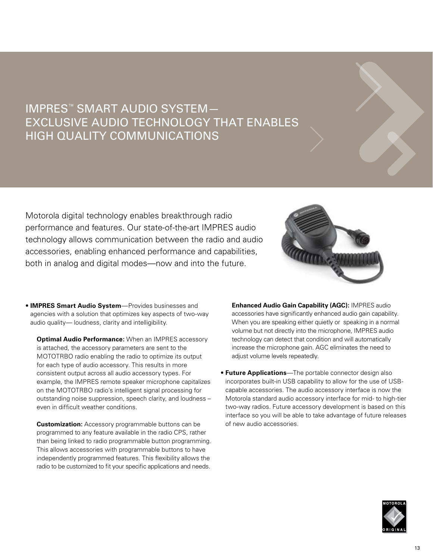## IMPRES™ Smart Audio System— Exclusive Audio Technology that Enables High Quality Communications

Motorola digital technology enables breakthrough radio performance and features. Our state-of-the-art IMPRES audio technology allows communication between the radio and audio accessories, enabling enhanced performance and capabilities, both in analog and digital modes—now and into the future.



• **IMPRES Smart Audio System**—Provides businesses and agencies with a solution that optimizes key aspects of two-way audio quality— loudness, clarity and intelligibility.

**Optimal Audio Performance:** When an IMPRES accessory is attached, the accessory parameters are sent to the MOTOTRBO radio enabling the radio to optimize its output for each type of audio accessory. This results in more consistent output across all audio accessory types. For example, the IMPRES remote speaker microphone capitalizes on the MOTOTRBO radio's intelligent signal processing for outstanding noise suppression, speech clarity, and loudness – even in difficult weather conditions.

**Customization:** Accessory programmable buttons can be programmed to any feature available in the radio CPS, rather than being linked to radio programmable button programming. This allows accessories with programmable buttons to have independently programmed features. This flexibility allows the radio to be customized to fit your specific applications and needs.

**Enhanced Audio Gain Capability (AGC):** IMPRES audio accessories have significantly enhanced audio gain capability. When you are speaking either quietly or speaking in a normal volume but not directly into the microphone, IMPRES audio technology can detect that condition and will automatically increase the microphone gain. AGC eliminates the need to adjust volume levels repeatedly.

• **Future Applications**—The portable connector design also incorporates built-in USB capability to allow for the use of USBcapable accessories. The audio accessory interface is now the Motorola standard audio accessory interface for mid- to high-tier two-way radios. Future accessory development is based on this interface so you will be able to take advantage of future releases of new audio accessories.

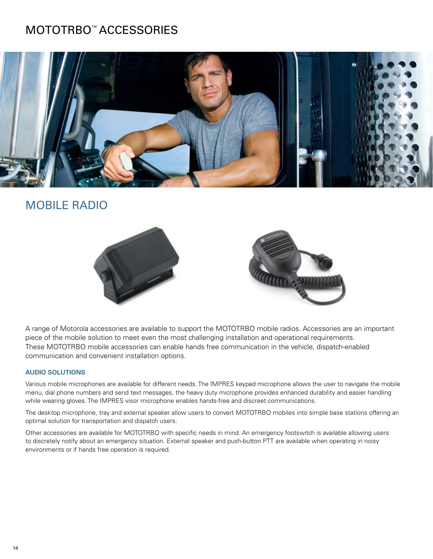## MOTOTRBO™ accessories



### **MOBILE RADIO**



A range of Motorola accessories are available to support the MOTOTRBO mobile radios. Accessories are an important piece of the mobile solution to meet even the most challenging installation and operational requirements. These MOTOTRBO mobile accessories can enable hands free communication in the vehicle, dispatch-enabled communication and convenient installation options.

#### **Audio Solutions**

Various mobile microphones are available for different needs. The IMPRES keypad microphone allows the user to navigate the mobile menu, dial phone numbers and send text messages, the heavy duty microphone provides enhanced durability and easier handling while wearing gloves. The IMPRES visor microphone enables hands-free and discreet communications.

The desktop microphone, tray and external speaker allow users to convert MOTOTRBO mobiles into simple base stations offering an optimal solution for transportation and dispatch users.

Other accessories are available for MOTOTRBO with specific needs in mind. An emergency footswitch is available allowing users to discretely notify about an emergency situation. External speaker and push-button PTT are available when operating in noisy environments or if hands free operation is required.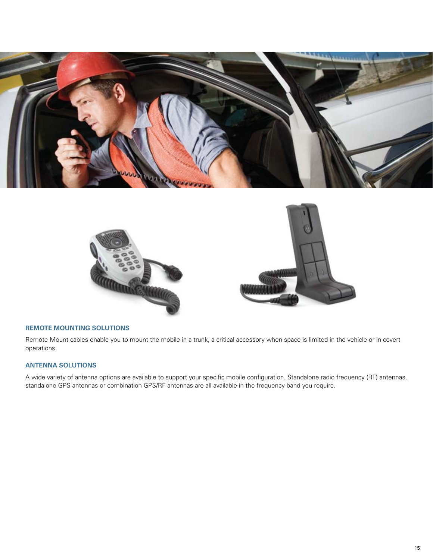



#### **Remote Mounting Solutions**

Remote Mount cables enable you to mount the mobile in a trunk, a critical accessory when space is limited in the vehicle or in covert operations.

#### **Antenna Solutions**

A wide variety of antenna options are available to support your specific mobile configuration. Standalone radio frequency (RF) antennas, standalone GPS antennas or combination GPS/RF antennas are all available in the frequency band you require.